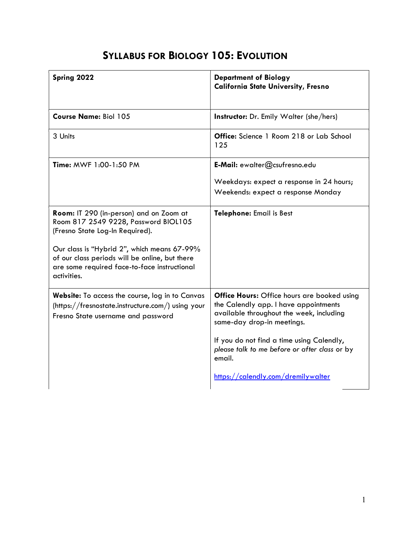## SYLLABUS FOR BIOLOGY 105: EVOLUTION

| Spring 2022                                                                                                                                                  | <b>Department of Biology</b><br><b>California State University, Fresno</b>                                                                                     |
|--------------------------------------------------------------------------------------------------------------------------------------------------------------|----------------------------------------------------------------------------------------------------------------------------------------------------------------|
| <b>Course Name: Biol 105</b>                                                                                                                                 | <b>Instructor:</b> Dr. Emily Walter (she/hers)                                                                                                                 |
| 3 Units                                                                                                                                                      | <b>Office:</b> Science 1 Room 218 or Lab School<br>125                                                                                                         |
| Time: MWF 1:00-1:50 PM                                                                                                                                       | E-Mail: ewalter@csufresno.edu                                                                                                                                  |
|                                                                                                                                                              | Weekdays: expect a response in 24 hours;<br>Weekends: expect a response Monday                                                                                 |
| Room: IT 290 (in-person) and on Zoom at<br>Room 817 2549 9228, Password BIOL105<br>(Fresno State Log-In Required).                                           | Telephone: Email is Best                                                                                                                                       |
| Our class is "Hybrid 2", which means 67-99%<br>of our class periods will be online, but there<br>are some required face-to-face instructional<br>activities. |                                                                                                                                                                |
| Website: To access the course, log in to Canvas<br>(https://fresnostate.instructure.com/) using your<br>Fresno State username and password                   | Office Hours: Office hours are booked using<br>the Calendly app. I have appointments<br>available throughout the week, including<br>same-day drop-in meetings. |
|                                                                                                                                                              | If you do not find a time using Calendly,<br>please talk to me before or after class or by<br>email.                                                           |
|                                                                                                                                                              | https://calendly.com/dremilywalter                                                                                                                             |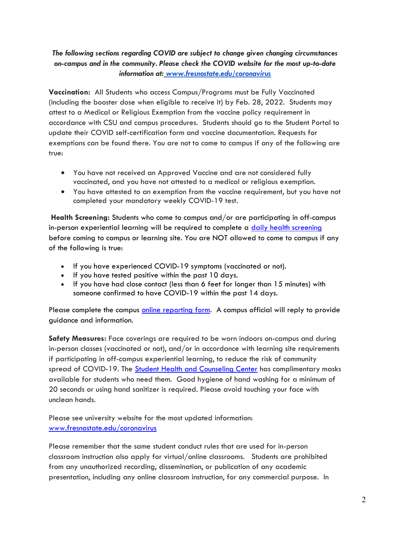### The following sections regarding COVID are subject to change given changing circumstances on-campus and in the community. Please check the COVID website for the most up-to-date information at: www.fresnostate.edu/coronavirus

Vaccination: All Students who access Campus/Programs must be Fully Vaccinated (including the booster dose when eligible to receive it) by Feb. 28, 2022. Students may attest to a Medical or Religious Exemption from the vaccine policy requirement in accordance with CSU and campus procedures. Students should go to the Student Portal to update their COVID self-certification form and vaccine documentation. Requests for exemptions can be found there. You are not to come to campus if any of the following are true:

- You have not received an Approved Vaccine and are not considered fully vaccinated, and you have not attested to a medical or religious exemption.
- You have attested to an exemption from the vaccine requirement, but you have not completed your mandatory weekly COVID-19 test.

Health Screening: Students who come to campus and/or are participating in off-campus in-person experiential learning will be required to complete a daily health screening before coming to campus or learning site. You are NOT allowed to come to campus if any of the following is true:

- If you have experienced COVID-19 symptoms (vaccinated or not).
- If you have tested positive within the past 10 days.
- If you have had close contact (less than 6 feet for longer than 15 minutes) with someone confirmed to have COVID-19 within the past 14 days.

Please complete the campus online reporting form. A campus official will reply to provide guidance and information.

Safety Measures: Face coverings are required to be worn indoors on-campus and during in-person classes (vaccinated or not), and/or in accordance with learning site requirements if participating in off-campus experiential learning, to reduce the risk of community spread of COVID-19. The **Student Health and Counseling Center** has complimentary masks available for students who need them. Good hygiene of hand washing for a minimum of 20 seconds or using hand sanitizer is required. Please avoid touching your face with unclean hands.

Please see university website for the most updated information: www.fresnostate.edu/coronavirus

Please remember that the same student conduct rules that are used for in-person classroom instruction also apply for virtual/online classrooms. Students are prohibited from any unauthorized recording, dissemination, or publication of any academic presentation, including any online classroom instruction, for any commercial purpose. In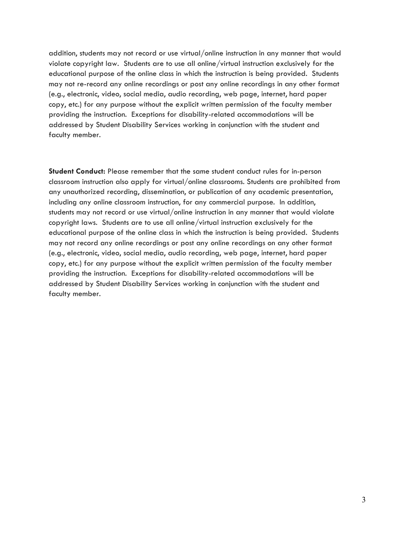addition, students may not record or use virtual/online instruction in any manner that would violate copyright law. Students are to use all online/virtual instruction exclusively for the educational purpose of the online class in which the instruction is being provided. Students may not re-record any online recordings or post any online recordings in any other format (e.g., electronic, video, social media, audio recording, web page, internet, hard paper copy, etc.) for any purpose without the explicit written permission of the faculty member providing the instruction. Exceptions for disability-related accommodations will be addressed by Student Disability Services working in conjunction with the student and faculty member.

Student Conduct: Please remember that the same student conduct rules for in-person classroom instruction also apply for virtual/online classrooms. Students are prohibited from any unauthorized recording, dissemination, or publication of any academic presentation, including any online classroom instruction, for any commercial purpose. In addition, students may not record or use virtual/online instruction in any manner that would violate copyright laws. Students are to use all online/virtual instruction exclusively for the educational purpose of the online class in which the instruction is being provided. Students may not record any online recordings or post any online recordings on any other format (e.g., electronic, video, social media, audio recording, web page, internet, hard paper copy, etc.) for any purpose without the explicit written permission of the faculty member providing the instruction. Exceptions for disability-related accommodations will be addressed by Student Disability Services working in conjunction with the student and faculty member.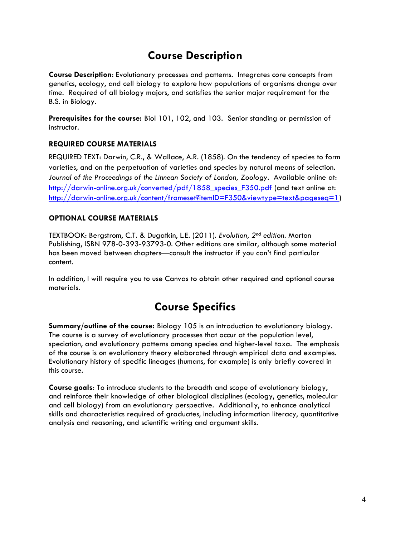### Course Description

Course Description: Evolutionary processes and patterns. Integrates core concepts from genetics, ecology, and cell biology to explore how populations of organisms change over time. Required of all biology majors, and satisfies the senior major requirement for the B.S. in Biology.

Prerequisites for the course: Biol 101, 102, and 103. Senior standing or permission of instructor.

### REQUIRED COURSE MATERIALS

REQUIRED TEXT: Darwin, C.R., & Wallace, A.R. (1858). On the tendency of species to form varieties, and on the perpetuation of varieties and species by natural means of selection. Journal of the Proceedings of the Linnean Society of London, Zoology. Available online at: http://darwin-online.org.uk/converted/pdf/1858 species F350.pdf (and text online at: http://darwin-online.org.uk/content/frameset?itemID=F350&viewtype=text&pageseq=1)

### OPTIONAL COURSE MATERIALS

TEXTBOOK: Bergstrom, C.T. & Dugatkin, L.E. (2011). Evolution, 2nd edition. Morton Publishing, ISBN 978-0-393-93793-0. Other editions are similar, although some material has been moved between chapters—consult the instructor if you can't find particular content.

In addition, I will require you to use Canvas to obtain other required and optional course materials.

### Course Specifics

Summary/outline of the course: Biology 105 is an introduction to evolutionary biology. The course is a survey of evolutionary processes that occur at the population level, speciation, and evolutionary patterns among species and higher-level taxa. The emphasis of the course is on evolutionary theory elaborated through empirical data and examples. Evolutionary history of specific lineages (humans, for example) is only briefly covered in this course.

Course goals: To introduce students to the breadth and scope of evolutionary biology, and reinforce their knowledge of other biological disciplines (ecology, genetics, molecular and cell biology) from an evolutionary perspective. Additionally, to enhance analytical skills and characteristics required of graduates, including information literacy, quantitative analysis and reasoning, and scientific writing and argument skills.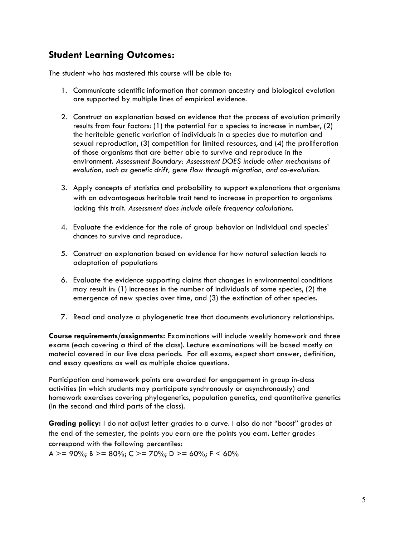### Student Learning Outcomes:

The student who has mastered this course will be able to:

- 1. Communicate scientific information that common ancestry and biological evolution are supported by multiple lines of empirical evidence.
- 2. Construct an explanation based on evidence that the process of evolution primarily results from four factors: (1) the potential for a species to increase in number, (2) the heritable genetic variation of individuals in a species due to mutation and sexual reproduction, (3) competition for limited resources, and (4) the proliferation of those organisms that are better able to survive and reproduce in the environment. Assessment Boundary: Assessment DOES include other mechanisms of evolution, such as genetic drift, gene flow through migration, and co-evolution.
- 3. Apply concepts of statistics and probability to support explanations that organisms with an advantageous heritable trait tend to increase in proportion to organisms lacking this trait. Assessment does include allele frequency calculations.
- 4. Evaluate the evidence for the role of group behavior on individual and species' chances to survive and reproduce.
- 5. Construct an explanation based on evidence for how natural selection leads to adaptation of populations
- 6. Evaluate the evidence supporting claims that changes in environmental conditions may result in: (1) increases in the number of individuals of some species, (2) the emergence of new species over time, and (3) the extinction of other species.
- 7. Read and analyze a phylogenetic tree that documents evolutionary relationships.

Course requirements/assignments: Examinations will include weekly homework and three exams (each covering a third of the class). Lecture examinations will be based mostly on material covered in our live class periods. For all exams, expect short answer, definition, and essay questions as well as multiple choice questions.

Participation and homework points are awarded for engagement in group in-class activities (in which students may participate synchronously or asynchronously) and homework exercises covering phylogenetics, population genetics, and quantitative genetics (in the second and third parts of the class).

Grading policy: I do not adjust letter grades to a curve. I also do not "boost" grades at the end of the semester, the points you earn are the points you earn. Letter grades correspond with the following percentiles:

A >= 90%; B >= 80%; C >= 70%; D >= 60%; F < 60%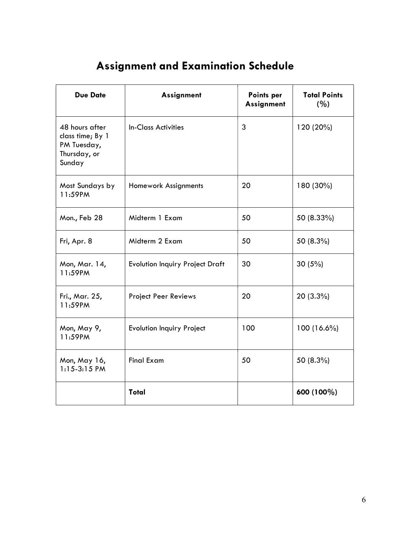# Assignment and Examination Schedule

| <b>Due Date</b>                                                             | Assignment                             | Points per<br>Assignment | <b>Total Points</b><br>(%) |
|-----------------------------------------------------------------------------|----------------------------------------|--------------------------|----------------------------|
| 48 hours after<br>class time; By 1<br>PM Tuesday,<br>Thursday, or<br>Sunday | <b>In-Class Activities</b>             | 3                        | 120 (20%)                  |
| Most Sundays by<br>11:59PM                                                  | Homework Assignments                   | 20                       | 180 (30%)                  |
| Mon., Feb 28                                                                | Midterm 1 Exam                         | 50                       | 50 (8.33%)                 |
| Fri, Apr. 8                                                                 | Midterm 2 Exam                         | 50                       | 50 (8.3%)                  |
| Mon, Mar. 14,<br>11:59PM                                                    | <b>Evolution Inquiry Project Draft</b> | 30                       | 30(5%)                     |
| Fri., Mar. 25,<br>11:59PM                                                   | <b>Project Peer Reviews</b>            | 20                       | 20 (3.3%)                  |
| Mon, May 9,<br>11:59PM                                                      | <b>Evolution Inquiry Project</b>       | 100                      | 100 (16.6%)                |
| Mon, May 16,<br>$1:15-3:15$ PM                                              | <b>Final Exam</b>                      | 50                       | 50 (8.3%)                  |
|                                                                             | <b>Total</b>                           |                          | 600 (100%)                 |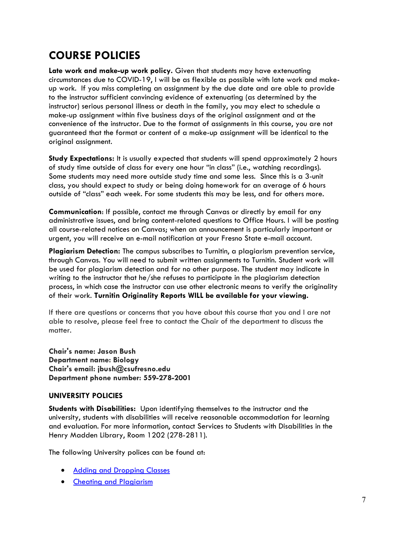### COURSE POLICIES

Late work and make-up work policy. Given that students may have extenuating circumstances due to COVID-19, I will be as flexible as possible with late work and makeup work. If you miss completing an assignment by the due date and are able to provide to the instructor sufficient convincing evidence of extenuating (as determined by the instructor) serious personal illness or death in the family, you may elect to schedule a make-up assignment within five business days of the original assignment and at the convenience of the instructor. Due to the format of assignments in this course, you are not guaranteed that the format or content of a make-up assignment will be identical to the original assignment.

Study Expectations: It is usually expected that students will spend approximately 2 hours of study time outside of class for every one hour "in class" (i.e., watching recordings). Some students may need more outside study time and some less. Since this is a 3-unit class, you should expect to study or being doing homework for an average of 6 hours outside of "class" each week. For some students this may be less, and for others more.

Communication: If possible, contact me through Canvas or directly by email for any administrative issues, and bring content-related questions to Office Hours. I will be posting all course-related notices on Canvas; when an announcement is particularly important or urgent, you will receive an e-mail notification at your Fresno State e-mail account.

Plagiarism Detection: The campus subscribes to Turnitin, a plagiarism prevention service, through Canvas. You will need to submit written assignments to Turnitin. Student work will be used for plagiarism detection and for no other purpose. The student may indicate in writing to the instructor that he/she refuses to participate in the plagiarism detection process, in which case the instructor can use other electronic means to verify the originality of their work. Turnitin Originality Reports WILL be available for your viewing.

If there are questions or concerns that you have about this course that you and I are not able to resolve, please feel free to contact the Chair of the department to discuss the matter.

Chair's name: Jason Bush Department name: Biology Chair's email: jbush@csufresno.edu Department phone number: 559-278-2001

### UNIVERSITY POLICIES

Students with Disabilities: Upon identifying themselves to the instructor and the university, students with disabilities will receive reasonable accommodation for learning and evaluation. For more information, contact Services to Students with Disabilities in the Henry Madden Library, Room 1202 (278-2811).

The following University polices can be found at:

- Adding and Dropping Classes
- Cheating and Plagiarism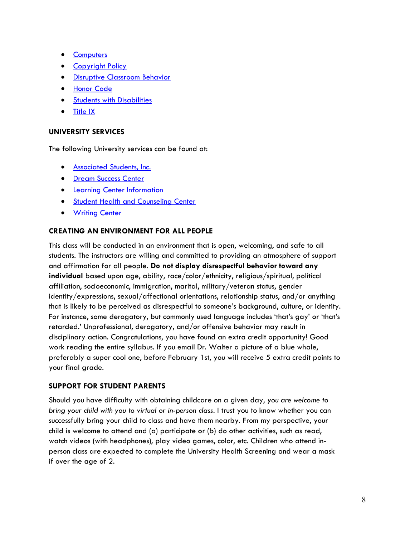- **Computers**
- Copyright Policy
- Disruptive Classroom Behavior
- Honor Code
- **•** Students with Disabilities
- Title IX

#### UNIVERSITY SERVICES

The following University services can be found at:

- **Associated Students, Inc.**
- **•** Dream Success Center
- **•** Learning Center Information
- **Student Health and Counseling Center**
- **•** Writing Center

#### CREATING AN ENVIRONMENT FOR ALL PEOPLE

This class will be conducted in an environment that is open, welcoming, and safe to all students. The instructors are willing and committed to providing an atmosphere of support and affirmation for all people. Do not display disrespectful behavior toward any individual based upon age, ability, race/color/ethnicity, religious/spiritual, political affiliation, socioeconomic, immigration, marital, military/veteran status, gender identity/expressions, sexual/affectional orientations, relationship status, and/or anything that is likely to be perceived as disrespectful to someone's background, culture, or identity. For instance, some derogatory, but commonly used language includes 'that's gay' or 'that's retarded.' Unprofessional, derogatory, and/or offensive behavior may result in disciplinary action. Congratulations, you have found an extra credit opportunity! Good work reading the entire syllabus. If you email Dr. Walter a picture of a blue whale, preferably a super cool one, before February 1st, you will receive 5 extra credit points to your final grade.

#### SUPPORT FOR STUDENT PARENTS

Should you have difficulty with obtaining childcare on a given day, you are welcome to bring your child with you to virtual or in-person class. I trust you to know whether you can successfully bring your child to class and have them nearby. From my perspective, your child is welcome to attend and (a) participate or (b) do other activities, such as read, watch videos (with headphones), play video games, color, etc. Children who attend inperson class are expected to complete the University Health Screening and wear a mask if over the age of 2.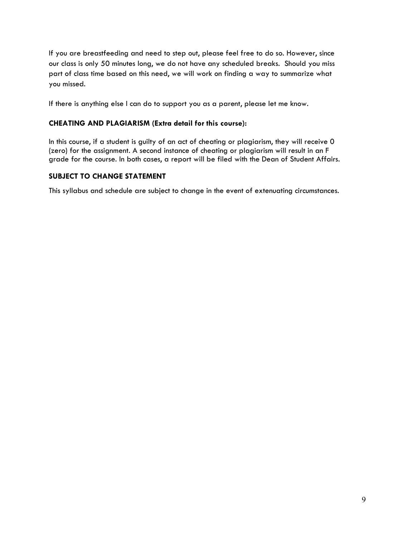If you are breastfeeding and need to step out, please feel free to do so. However, since our class is only 50 minutes long, we do not have any scheduled breaks. Should you miss part of class time based on this need, we will work on finding a way to summarize what you missed.

If there is anything else I can do to support you as a parent, please let me know.

#### CHEATING AND PLAGIARISM (Extra detail for this course):

In this course, if a student is guilty of an act of cheating or plagiarism, they will receive 0 (zero) for the assignment. A second instance of cheating or plagiarism will result in an F grade for the course. In both cases, a report will be filed with the Dean of Student Affairs.

#### SUBJECT TO CHANGE STATEMENT

This syllabus and schedule are subject to change in the event of extenuating circumstances.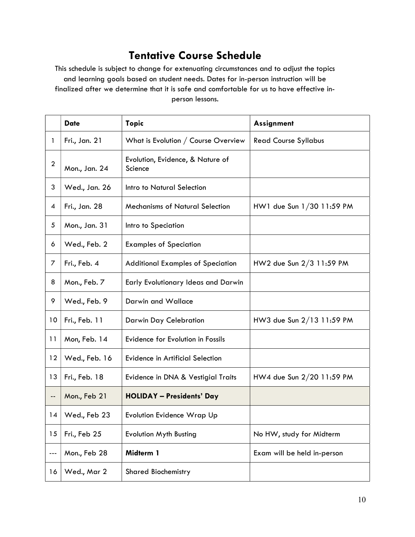### Tentative Course Schedule

This schedule is subject to change for extenuating circumstances and to adjust the topics and learning goals based on student needs. Dates for in-person instruction will be finalized after we determine that it is safe and comfortable for us to have effective inperson lessons.

|                            | <b>Date</b>   | <b>Topic</b>                                | Assignment                  |
|----------------------------|---------------|---------------------------------------------|-----------------------------|
| 1                          | Fri., Jan. 21 | What is Evolution / Course Overview         | <b>Read Course Syllabus</b> |
| $\boldsymbol{2}$           | Mon., Jan. 24 | Evolution, Evidence, & Nature of<br>Science |                             |
| 3                          | Wed., Jan. 26 | Intro to Natural Selection                  |                             |
| 4                          | Fri., Jan. 28 | <b>Mechanisms of Natural Selection</b>      | HW1 due Sun 1/30 11:59 PM   |
| 5                          | Mon., Jan. 31 | Intro to Speciation                         |                             |
| 6                          | Wed., Feb. 2  | <b>Examples of Speciation</b>               |                             |
| $\overline{z}$             | Fri., Feb. 4  | <b>Additional Examples of Speciation</b>    | HW2 due Sun 2/3 11:59 PM    |
| 8                          | Mon., Feb. 7  | Early Evolutionary Ideas and Darwin         |                             |
| 9                          | Wed., Feb. 9  | Darwin and Wallace                          |                             |
| 10                         | Fri., Feb. 11 | Darwin Day Celebration                      | HW3 due Sun 2/13 11:59 PM   |
| 11                         | Mon, Feb. 14  | Evidence for Evolution in Fossils           |                             |
| 12                         | Wed., Feb. 16 | <b>Evidence in Artificial Selection</b>     |                             |
| 13                         | Fri., Feb. 18 | Evidence in DNA & Vestigial Traits          | HW4 due Sun 2/20 11:59 PM   |
| $\overline{\phantom{a}}$ . | Mon., Feb 21  | <b>HOLIDAY - Presidents' Day</b>            |                             |
| 14                         | Wed., Feb 23  | <b>Evolution Evidence Wrap Up</b>           |                             |
| 15                         | Fri., Feb 25  | <b>Evolution Myth Busting</b>               | No HW, study for Midterm    |
| ---                        | Mon., Feb 28  | Midterm 1                                   | Exam will be held in-person |
| 16                         | Wed., Mar 2   | <b>Shared Biochemistry</b>                  |                             |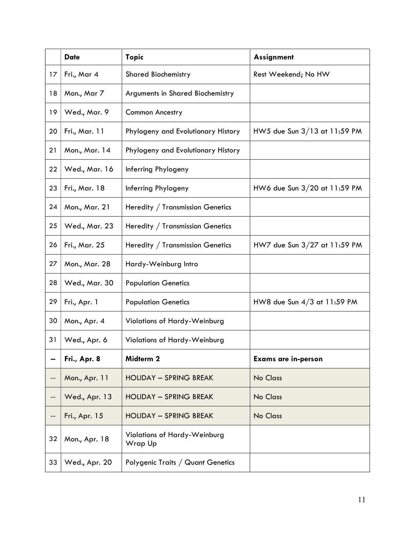|    | <b>Date</b>   | <b>Topic</b>                                   | Assignment                     |
|----|---------------|------------------------------------------------|--------------------------------|
| 17 | Fri., Mar 4   | <b>Shared Biochemistry</b>                     | Rest Weekend; No HW            |
| 18 | Mon., Mar 7   | Arguments in Shared Biochemistry               |                                |
| 19 | Wed., Mar. 9  | Common Ancestry                                |                                |
| 20 | Fri., Mar. 11 | Phylogeny and Evolutionary History             | HW5 due Sun 3/13 at 11:59 PM   |
| 21 | Mon., Mar. 14 | Phylogeny and Evolutionary History             |                                |
| 22 | Wed., Mar. 16 | Inferring Phylogeny                            |                                |
| 23 | Fri., Mar. 18 | Inferring Phylogeny                            | HW6 due Sun 3/20 at 11:59 PM   |
| 24 | Mon., Mar. 21 | Heredity / Transmission Genetics               |                                |
| 25 | Wed., Mar. 23 | Heredity / Transmission Genetics               |                                |
| 26 | Fri., Mar. 25 | Heredity / Transmission Genetics               | HW7 due Sun $3/27$ at 11:59 PM |
| 27 | Mon., Mar. 28 | Hardy-Weinburg Intro                           |                                |
| 28 | Wed., Mar. 30 | <b>Population Genetics</b>                     |                                |
| 29 | Fri., Apr. 1  | <b>Population Genetics</b>                     | HW8 due Sun $4/3$ at 11:59 PM  |
| 30 | Mon., Apr. 4  | Violations of Hardy-Weinburg                   |                                |
| 31 | Wed., Apr. 6  | Violations of Hardy-Weinburg                   |                                |
| -- | Fri., Apr. 8  | Midterm 2                                      | <b>Exams are in-person</b>     |
| -- | Mon., Apr. 11 | <b>HOLIDAY - SPRING BREAK</b>                  | No Class                       |
| -- | Wed., Apr. 13 | <b>HOLIDAY - SPRING BREAK</b>                  | No Class                       |
| -- | Fri., Apr. 15 | <b>HOLIDAY - SPRING BREAK</b>                  | No Class                       |
| 32 | Mon., Apr. 18 | <b>Violations of Hardy-Weinburg</b><br>Wrap Up |                                |
| 33 | Wed., Apr. 20 | Polygenic Traits / Quant Genetics              |                                |